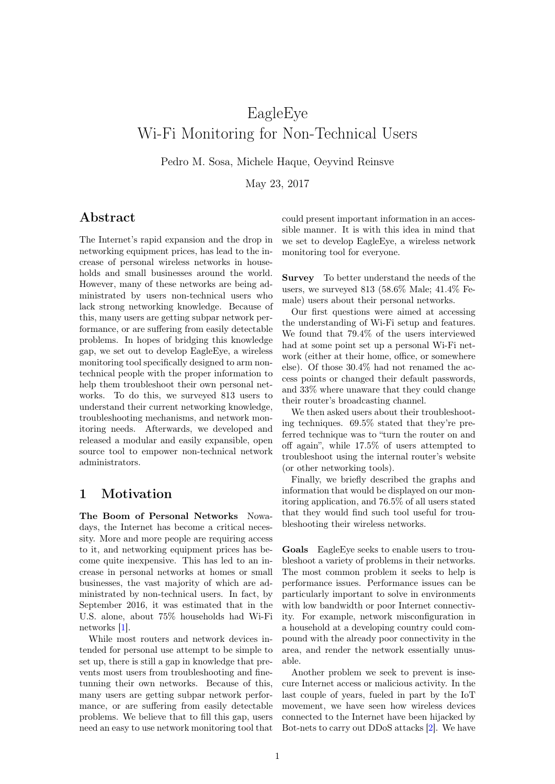# EagleEye Wi-Fi Monitoring for Non-Technical Users

Pedro M. Sosa, Michele Haque, Oeyvind Reinsve

May 23, 2017

### Abstract

The Internet's rapid expansion and the drop in networking equipment prices, has lead to the increase of personal wireless networks in households and small businesses around the world. However, many of these networks are being administrated by users non-technical users who lack strong networking knowledge. Because of this, many users are getting subpar network performance, or are suffering from easily detectable problems. In hopes of bridging this knowledge gap, we set out to develop EagleEye, a wireless monitoring tool specifically designed to arm nontechnical people with the proper information to help them troubleshoot their own personal networks. To do this, we surveyed 813 users to understand their current networking knowledge, troubleshooting mechanisms, and network monitoring needs. Afterwards, we developed and released a modular and easily expansible, open source tool to empower non-technical network administrators.

## 1 Motivation

The Boom of Personal Networks Nowadays, the Internet has become a critical necessity. More and more people are requiring access to it, and networking equipment prices has become quite inexpensive. This has led to an increase in personal networks at homes or small businesses, the vast majority of which are administrated by non-technical users. In fact, by September 2016, it was estimated that in the U.S. alone, about 75% households had Wi-Fi networks [\[1\]](#page-5-0).

While most routers and network devices intended for personal use attempt to be simple to set up, there is still a gap in knowledge that prevents most users from troubleshooting and finetunning their own networks. Because of this, many users are getting subpar network performance, or are suffering from easily detectable problems. We believe that to fill this gap, users need an easy to use network monitoring tool that could present important information in an accessible manner. It is with this idea in mind that we set to develop EagleEye, a wireless network monitoring tool for everyone.

Survey To better understand the needs of the users, we surveyed 813 (58.6% Male; 41.4% Female) users about their personal networks.

Our first questions were aimed at accessing the understanding of Wi-Fi setup and features. We found that 79.4% of the users interviewed had at some point set up a personal Wi-Fi network (either at their home, office, or somewhere else). Of those 30.4% had not renamed the access points or changed their default passwords, and 33% where unaware that they could change their router's broadcasting channel.

We then asked users about their troubleshooting techniques. 69.5% stated that they're preferred technique was to "turn the router on and off again", while 17.5% of users attempted to troubleshoot using the internal router's website (or other networking tools).

Finally, we briefly described the graphs and information that would be displayed on our monitoring application, and 76.5% of all users stated that they would find such tool useful for troubleshooting their wireless networks.

Goals EagleEye seeks to enable users to troubleshoot a variety of problems in their networks. The most common problem it seeks to help is performance issues. Performance issues can be particularly important to solve in environments with low bandwidth or poor Internet connectivity. For example, network misconfiguration in a household at a developing country could compound with the already poor connectivity in the area, and render the network essentially unusable.

Another problem we seek to prevent is insecure Internet access or malicious activity. In the last couple of years, fueled in part by the IoT movement, we have seen how wireless devices connected to the Internet have been hijacked by Bot-nets to carry out DDoS attacks [\[2\]](#page-5-1). We have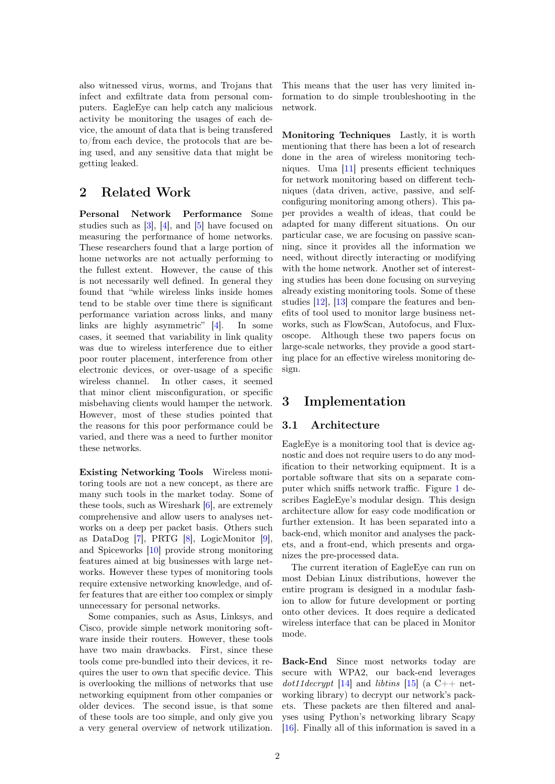also witnessed virus, worms, and Trojans that infect and exfiltrate data from personal computers. EagleEye can help catch any malicious activity be monitoring the usages of each device, the amount of data that is being transfered to/from each device, the protocols that are being used, and any sensitive data that might be getting leaked.

## 2 Related Work

Personal Network Performance Some studies such as  $[3]$ ,  $[4]$ , and  $[5]$  have focused on measuring the performance of home networks. These researchers found that a large portion of home networks are not actually performing to the fullest extent. However, the cause of this is not necessarily well defined. In general they found that "while wireless links inside homes tend to be stable over time there is significant performance variation across links, and many links are highly asymmetric" [\[4\]](#page-5-3). In some cases, it seemed that variability in link quality was due to wireless interference due to either poor router placement, interference from other electronic devices, or over-usage of a specific wireless channel. In other cases, it seemed that minor client misconfiguration, or specific misbehaving clients would hamper the network. However, most of these studies pointed that the reasons for this poor performance could be varied, and there was a need to further monitor these networks.

Existing Networking Tools Wireless monitoring tools are not a new concept, as there are many such tools in the market today. Some of these tools, such as Wireshark [\[6\]](#page-5-5), are extremely comprehensive and allow users to analyses networks on a deep per packet basis. Others such as DataDog [\[7\]](#page-5-6), PRTG [\[8\]](#page-5-7), LogicMonitor [\[9\]](#page-5-8), and Spiceworks [\[10\]](#page-5-9) provide strong monitoring features aimed at big businesses with large networks. However these types of monitoring tools require extensive networking knowledge, and offer features that are either too complex or simply unnecessary for personal networks.

Some companies, such as Asus, Linksys, and Cisco, provide simple network monitoring software inside their routers. However, these tools have two main drawbacks. First, since these tools come pre-bundled into their devices, it requires the user to own that specific device. This is overlooking the millions of networks that use networking equipment from other companies or older devices. The second issue, is that some of these tools are too simple, and only give you a very general overview of network utilization. This means that the user has very limited information to do simple troubleshooting in the network.

Monitoring Techniques Lastly, it is worth mentioning that there has been a lot of research done in the area of wireless monitoring techniques. Uma [\[11\]](#page-5-10) presents efficient techniques for network monitoring based on different techniques (data driven, active, passive, and selfconfiguring monitoring among others). This paper provides a wealth of ideas, that could be adapted for many different situations. On our particular case, we are focusing on passive scanning, since it provides all the information we need, without directly interacting or modifying with the home network. Another set of interesting studies has been done focusing on surveying already existing monitoring tools. Some of these studies [\[12\]](#page-5-11), [\[13\]](#page-5-12) compare the features and benefits of tool used to monitor large business networks, such as FlowScan, Autofocus, and Fluxoscope. Although these two papers focus on large-scale networks, they provide a good starting place for an effective wireless monitoring design.

## 3 Implementation

### 3.1 Architecture

EagleEye is a monitoring tool that is device agnostic and does not require users to do any modification to their networking equipment. It is a portable software that sits on a separate computer which sniffs network traffic. Figure [1](#page-2-0) describes EagleEye's modular design. This design architecture allow for easy code modification or further extension. It has been separated into a back-end, which monitor and analyses the packets, and a front-end, which presents and organizes the pre-processed data.

The current iteration of EagleEye can run on most Debian Linux distributions, however the entire program is designed in a modular fashion to allow for future development or porting onto other devices. It does require a dedicated wireless interface that can be placed in Monitor mode.

Back-End Since most networks today are secure with WPA2, our back-end leverages  $dot11decript$  [\[14\]](#page-5-13) and libtins [\[15\]](#page-5-14) (a C++ networking library) to decrypt our network's packets. These packets are then filtered and analyses using Python's networking library Scapy [\[16\]](#page-5-15). Finally all of this information is saved in a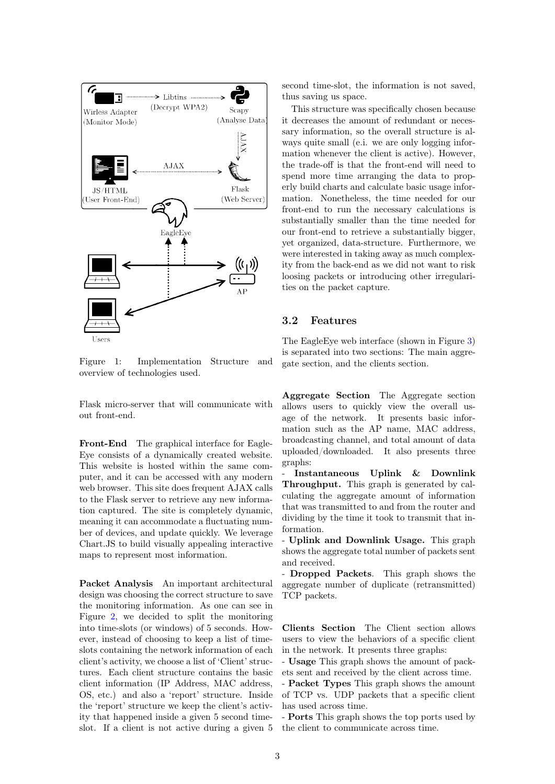

<span id="page-2-0"></span>Figure 1: Implementation Structure and overview of technologies used.

Flask micro-server that will communicate with out front-end.

Front-End The graphical interface for Eagle-Eye consists of a dynamically created website. This website is hosted within the same computer, and it can be accessed with any modern web browser. This site does frequent AJAX calls to the Flask server to retrieve any new information captured. The site is completely dynamic, meaning it can accommodate a fluctuating number of devices, and update quickly. We leverage Chart.JS to build visually appealing interactive maps to represent most information.

Packet Analysis An important architectural design was choosing the correct structure to save the monitoring information. As one can see in Figure [2,](#page-3-0) we decided to split the monitoring into time-slots (or windows) of 5 seconds. However, instead of choosing to keep a list of timeslots containing the network information of each client's activity, we choose a list of 'Client' structures. Each client structure contains the basic client information (IP Address, MAC address, OS, etc.) and also a 'report' structure. Inside the 'report' structure we keep the client's activity that happened inside a given 5 second timeslot. If a client is not active during a given 5 second time-slot, the information is not saved, thus saving us space.

This structure was specifically chosen because it decreases the amount of redundant or necessary information, so the overall structure is always quite small (e.i. we are only logging information whenever the client is active). However, the trade-off is that the front-end will need to spend more time arranging the data to properly build charts and calculate basic usage information. Nonetheless, the time needed for our front-end to run the necessary calculations is substantially smaller than the time needed for our front-end to retrieve a substantially bigger, yet organized, data-structure. Furthermore, we were interested in taking away as much complexity from the back-end as we did not want to risk loosing packets or introducing other irregularities on the packet capture.

### 3.2 Features

The EagleEye web interface (shown in Figure [3\)](#page-4-0) is separated into two sections: The main aggregate section, and the clients section.

Aggregate Section The Aggregate section allows users to quickly view the overall usage of the network. It presents basic information such as the AP name, MAC address, broadcasting channel, and total amount of data uploaded/downloaded. It also presents three graphs:

- Instantaneous Uplink & Downlink Throughput. This graph is generated by calculating the aggregate amount of information that was transmitted to and from the router and dividing by the time it took to transmit that information.

- Uplink and Downlink Usage. This graph shows the aggregate total number of packets sent and received.

- Dropped Packets. This graph shows the aggregate number of duplicate (retransmitted) TCP packets.

Clients Section The Client section allows users to view the behaviors of a specific client in the network. It presents three graphs:

- Usage This graph shows the amount of packets sent and received by the client across time.

- Packet Types This graph shows the amount of TCP vs. UDP packets that a specific client has used across time.

- Ports This graph shows the top ports used by the client to communicate across time.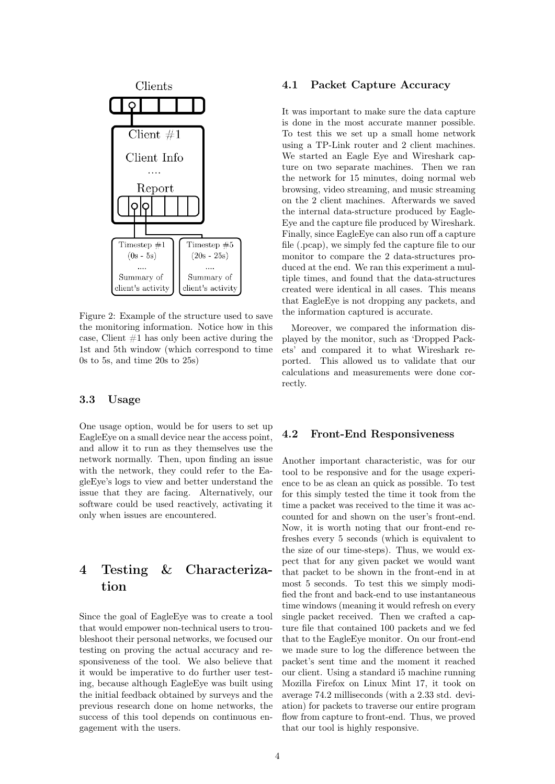

<span id="page-3-0"></span>Figure 2: Example of the structure used to save the monitoring information. Notice how in this case, Client  $#1$  has only been active during the 1st and 5th window (which correspond to time 0s to 5s, and time 20s to 25s)

### 3.3 Usage

One usage option, would be for users to set up EagleEye on a small device near the access point, and allow it to run as they themselves use the network normally. Then, upon finding an issue with the network, they could refer to the EagleEye's logs to view and better understand the issue that they are facing. Alternatively, our software could be used reactively, activating it only when issues are encountered.

## 4 Testing & Characterization

Since the goal of EagleEye was to create a tool that would empower non-technical users to troubleshoot their personal networks, we focused our testing on proving the actual accuracy and responsiveness of the tool. We also believe that it would be imperative to do further user testing, because although EagleEye was built using the initial feedback obtained by surveys and the previous research done on home networks, the success of this tool depends on continuous engagement with the users.

### 4.1 Packet Capture Accuracy

It was important to make sure the data capture is done in the most accurate manner possible. To test this we set up a small home network using a TP-Link router and 2 client machines. We started an Eagle Eye and Wireshark capture on two separate machines. Then we ran the network for 15 minutes, doing normal web browsing, video streaming, and music streaming on the 2 client machines. Afterwards we saved the internal data-structure produced by Eagle-Eye and the capture file produced by Wireshark. Finally, since EagleEye can also run off a capture file (.pcap), we simply fed the capture file to our monitor to compare the 2 data-structures produced at the end. We ran this experiment a multiple times, and found that the data-structures created were identical in all cases. This means that EagleEye is not dropping any packets, and the information captured is accurate.

Moreover, we compared the information displayed by the monitor, such as 'Dropped Packets' and compared it to what Wireshark reported. This allowed us to validate that our calculations and measurements were done correctly.

### 4.2 Front-End Responsiveness

Another important characteristic, was for our tool to be responsive and for the usage experience to be as clean an quick as possible. To test for this simply tested the time it took from the time a packet was received to the time it was accounted for and shown on the user's front-end. Now, it is worth noting that our front-end refreshes every 5 seconds (which is equivalent to the size of our time-steps). Thus, we would expect that for any given packet we would want that packet to be shown in the front-end in at most 5 seconds. To test this we simply modified the front and back-end to use instantaneous time windows (meaning it would refresh on every single packet received. Then we crafted a capture file that contained 100 packets and we fed that to the EagleEye monitor. On our front-end we made sure to log the difference between the packet's sent time and the moment it reached our client. Using a standard i5 machine running Mozilla Firefox on Linux Mint 17, it took on average 74.2 milliseconds (with a 2.33 std. deviation) for packets to traverse our entire program flow from capture to front-end. Thus, we proved that our tool is highly responsive.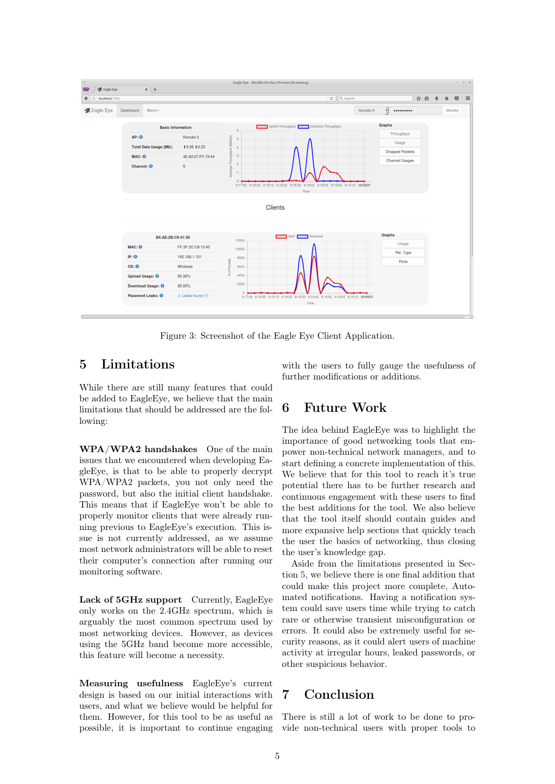

<span id="page-4-0"></span>Figure 3: Screenshot of the Eagle Eye Client Application.

## <span id="page-4-1"></span>5 Limitations

While there are still many features that could be added to EagleEye, we believe that the main limitations that should be addressed are the following:

WPA/WPA2 handshakes One of the main issues that we encountered when developing EagleEye, is that to be able to properly decrypt WPA/WPA2 packets, you not only need the password, but also the initial client handshake. This means that if EagleEye won't be able to properly monitor clients that were already running previous to EagleEye's execution. This issue is not currently addressed, as we assume most network administrators will be able to reset their computer's connection after running our monitoring software.

Lack of 5GHz support Currently, EagleEye only works on the 2.4GHz spectrum, which is arguably the most common spectrum used by most networking devices. However, as devices using the 5GHz band become more accessible, this feature will become a necessity.

Measuring usefulness EagleEye's current design is based on our initial interactions with users, and what we believe would be helpful for them. However, for this tool to be as useful as possible, it is important to continue engaging with the users to fully gauge the usefulness of further modifications or additions.

### 6 Future Work

The idea behind EagleEye was to highlight the importance of good networking tools that empower non-technical network managers, and to start defining a concrete implementation of this. We believe that for this tool to reach it's true potential there has to be further research and continuous engagement with these users to find the best additions for the tool. We also believe that the tool itself should contain guides and more expansive help sections that quickly teach the user the basics of networking, thus closing the user's knowledge gap.

Aside from the limitations presented in Section [5,](#page-4-1) we believe there is one final addition that could make this project more complete, Automated notifications. Having a notification system could save users time while trying to catch rare or otherwise transient misconfiguration or errors. It could also be extremely useful for security reasons, as it could alert users of machine activity at irregular hours, leaked passwords, or other suspicious behavior.

## 7 Conclusion

There is still a lot of work to be done to provide non-technical users with proper tools to